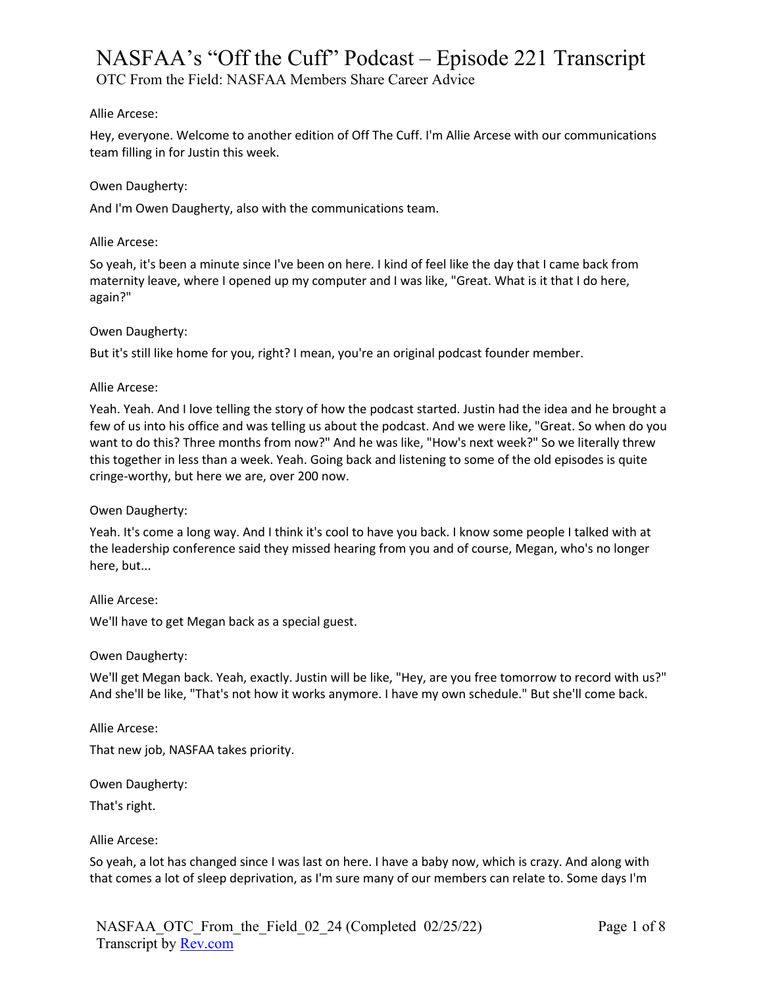OTC From the Field: NASFAA Members Share Career Advice

## Allie Arcese:

Hey, everyone. Welcome to another edition of Off The Cuff. I'm Allie Arcese with our communications team filling in for Justin this week.

## Owen Daugherty:

And I'm Owen Daugherty, also with the communications team.

## Allie Arcese:

So yeah, it's been a minute since I've been on here. I kind of feel like the day that I came back from maternity leave, where I opened up my computer and I was like, "Great. What is it that I do here, again?"

## Owen Daugherty:

But it's still like home for you, right? I mean, you're an original podcast founder member.

## Allie Arcese:

Yeah. Yeah. And I love telling the story of how the podcast started. Justin had the idea and he brought a few of us into his office and was telling us about the podcast. And we were like, "Great. So when do you want to do this? Three months from now?" And he was like, "How's next week?" So we literally threw this together in less than a week. Yeah. Going back and listening to some of the old episodes is quite cringe-worthy, but here we are, over 200 now.

## Owen Daugherty:

Yeah. It's come a long way. And I think it's cool to have you back. I know some people I talked with at the leadership conference said they missed hearing from you and of course, Megan, who's no longer here, but...

## Allie Arcese:

We'll have to get Megan back as a special guest.

## Owen Daugherty:

We'll get Megan back. Yeah, exactly. Justin will be like, "Hey, are you free tomorrow to record with us?" And she'll be like, "That's not how it works anymore. I have my own schedule." But she'll come back.

Allie Arcese:

That new job, NASFAA takes priority.

Owen Daugherty:

That's right.

## Allie Arcese:

So yeah, a lot has changed since I was last on here. I have a baby now, which is crazy. And along with that comes a lot of sleep deprivation, as I'm sure many of our members can relate to. Some days I'm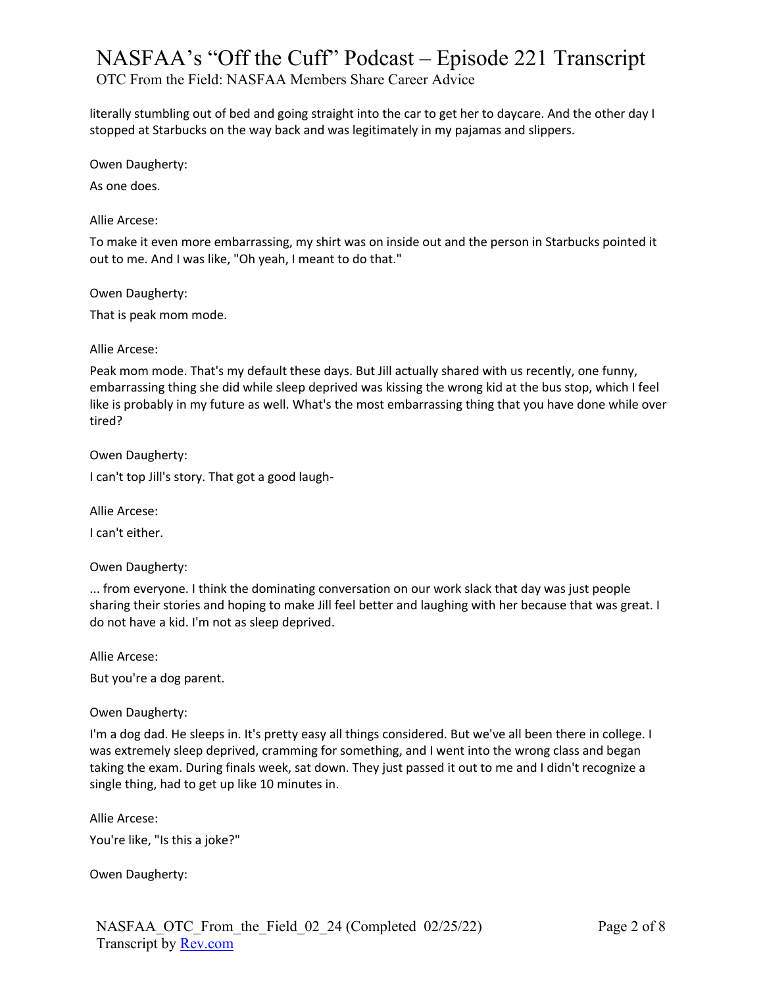OTC From the Field: NASFAA Members Share Career Advice

literally stumbling out of bed and going straight into the car to get her to daycare. And the other day I stopped at Starbucks on the way back and was legitimately in my pajamas and slippers.

Owen Daugherty:

As one does.

Allie Arcese:

To make it even more embarrassing, my shirt was on inside out and the person in Starbucks pointed it out to me. And I was like, "Oh yeah, I meant to do that."

Owen Daugherty:

That is peak mom mode.

Allie Arcese:

Peak mom mode. That's my default these days. But Jill actually shared with us recently, one funny, embarrassing thing she did while sleep deprived was kissing the wrong kid at the bus stop, which I feel like is probably in my future as well. What's the most embarrassing thing that you have done while over tired?

Owen Daugherty:

I can't top Jill's story. That got a good laugh-

Allie Arcese:

I can't either.

Owen Daugherty:

... from everyone. I think the dominating conversation on our work slack that day was just people sharing their stories and hoping to make Jill feel better and laughing with her because that was great. I do not have a kid. I'm not as sleep deprived.

Allie Arcese:

But you're a dog parent.

Owen Daugherty:

I'm a dog dad. He sleeps in. It's pretty easy all things considered. But we've all been there in college. I was extremely sleep deprived, cramming for something, and I went into the wrong class and began taking the exam. During finals week, sat down. They just passed it out to me and I didn't recognize a single thing, had to get up like 10 minutes in.

Allie Arcese:

You're like, "Is this a joke?"

Owen Daugherty: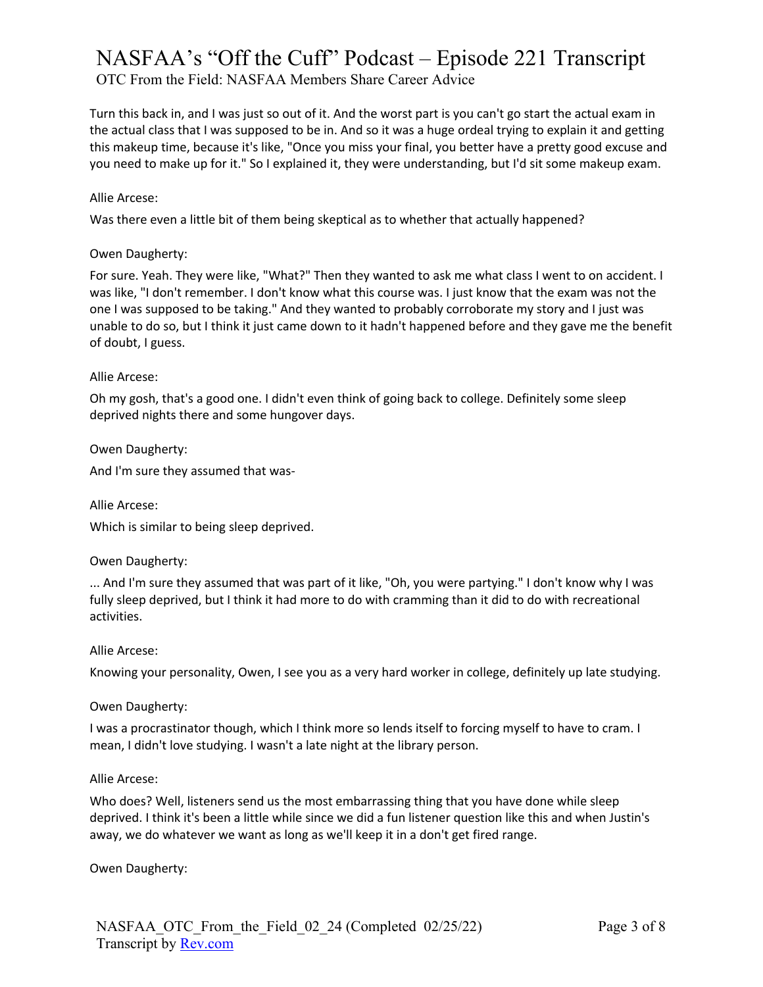OTC From the Field: NASFAA Members Share Career Advice

Turn this back in, and I was just so out of it. And the worst part is you can't go start the actual exam in the actual class that I was supposed to be in. And so it was a huge ordeal trying to explain it and getting this makeup time, because it's like, "Once you miss your final, you better have a pretty good excuse and you need to make up for it." So I explained it, they were understanding, but I'd sit some makeup exam.

## Allie Arcese:

Was there even a little bit of them being skeptical as to whether that actually happened?

## Owen Daugherty:

For sure. Yeah. They were like, "What?" Then they wanted to ask me what class I went to on accident. I was like, "I don't remember. I don't know what this course was. I just know that the exam was not the one I was supposed to be taking." And they wanted to probably corroborate my story and I just was unable to do so, but I think it just came down to it hadn't happened before and they gave me the benefit of doubt, I guess.

## Allie Arcese:

Oh my gosh, that's a good one. I didn't even think of going back to college. Definitely some sleep deprived nights there and some hungover days.

Owen Daugherty:

And I'm sure they assumed that was-

Allie Arcese:

Which is similar to being sleep deprived.

## Owen Daugherty:

... And I'm sure they assumed that was part of it like, "Oh, you were partying." I don't know why I was fully sleep deprived, but I think it had more to do with cramming than it did to do with recreational activities.

## Allie Arcese:

Knowing your personality, Owen, I see you as a very hard worker in college, definitely up late studying.

## Owen Daugherty:

I was a procrastinator though, which I think more so lends itself to forcing myself to have to cram. I mean, I didn't love studying. I wasn't a late night at the library person.

## Allie Arcese:

Who does? Well, listeners send us the most embarrassing thing that you have done while sleep deprived. I think it's been a little while since we did a fun listener question like this and when Justin's away, we do whatever we want as long as we'll keep it in a don't get fired range.

Owen Daugherty: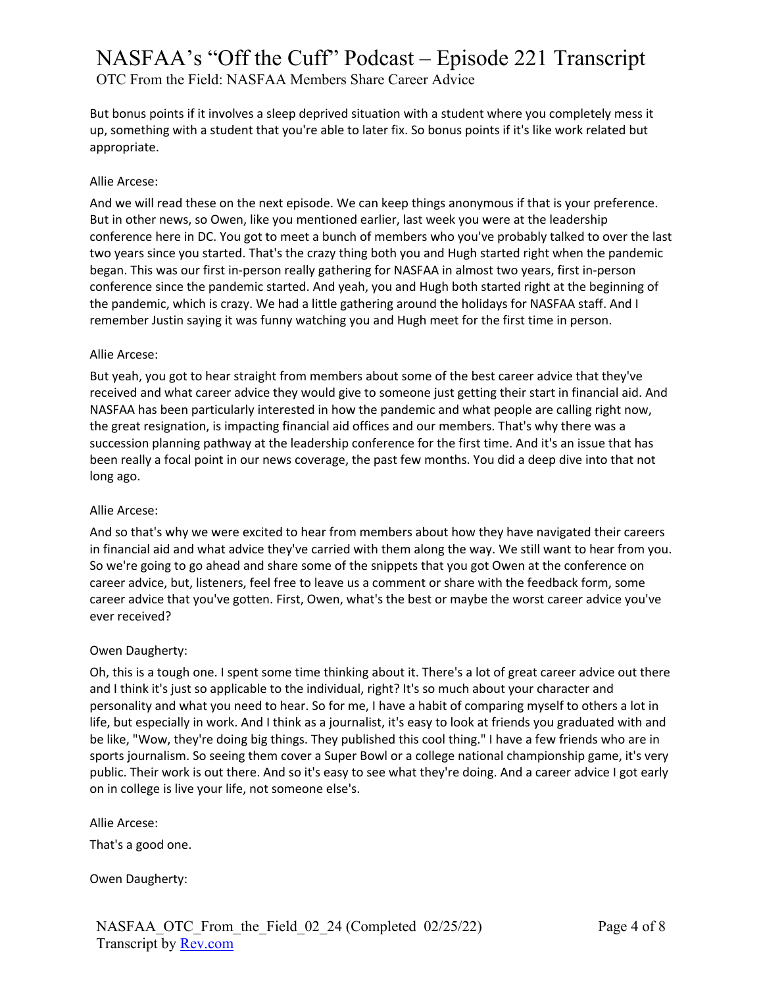OTC From the Field: NASFAA Members Share Career Advice

But bonus points if it involves a sleep deprived situation with a student where you completely mess it up, something with a student that you're able to later fix. So bonus points if it's like work related but appropriate.

## Allie Arcese:

And we will read these on the next episode. We can keep things anonymous if that is your preference. But in other news, so Owen, like you mentioned earlier, last week you were at the leadership conference here in DC. You got to meet a bunch of members who you've probably talked to over the last two years since you started. That's the crazy thing both you and Hugh started right when the pandemic began. This was our first in-person really gathering for NASFAA in almost two years, first in-person conference since the pandemic started. And yeah, you and Hugh both started right at the beginning of the pandemic, which is crazy. We had a little gathering around the holidays for NASFAA staff. And I remember Justin saying it was funny watching you and Hugh meet for the first time in person.

## Allie Arcese:

But yeah, you got to hear straight from members about some of the best career advice that they've received and what career advice they would give to someone just getting their start in financial aid. And NASFAA has been particularly interested in how the pandemic and what people are calling right now, the great resignation, is impacting financial aid offices and our members. That's why there was a succession planning pathway at the leadership conference for the first time. And it's an issue that has been really a focal point in our news coverage, the past few months. You did a deep dive into that not long ago.

# Allie Arcese:

And so that's why we were excited to hear from members about how they have navigated their careers in financial aid and what advice they've carried with them along the way. We still want to hear from you. So we're going to go ahead and share some of the snippets that you got Owen at the conference on career advice, but, listeners, feel free to leave us a comment or share with the feedback form, some career advice that you've gotten. First, Owen, what's the best or maybe the worst career advice you've ever received?

# Owen Daugherty:

Oh, this is a tough one. I spent some time thinking about it. There's a lot of great career advice out there and I think it's just so applicable to the individual, right? It's so much about your character and personality and what you need to hear. So for me, I have a habit of comparing myself to others a lot in life, but especially in work. And I think as a journalist, it's easy to look at friends you graduated with and be like, "Wow, they're doing big things. They published this cool thing." I have a few friends who are in sports journalism. So seeing them cover a Super Bowl or a college national championship game, it's very public. Their work is out there. And so it's easy to see what they're doing. And a career advice I got early on in college is live your life, not someone else's.

Allie Arcese:

That's a good one.

Owen Daugherty: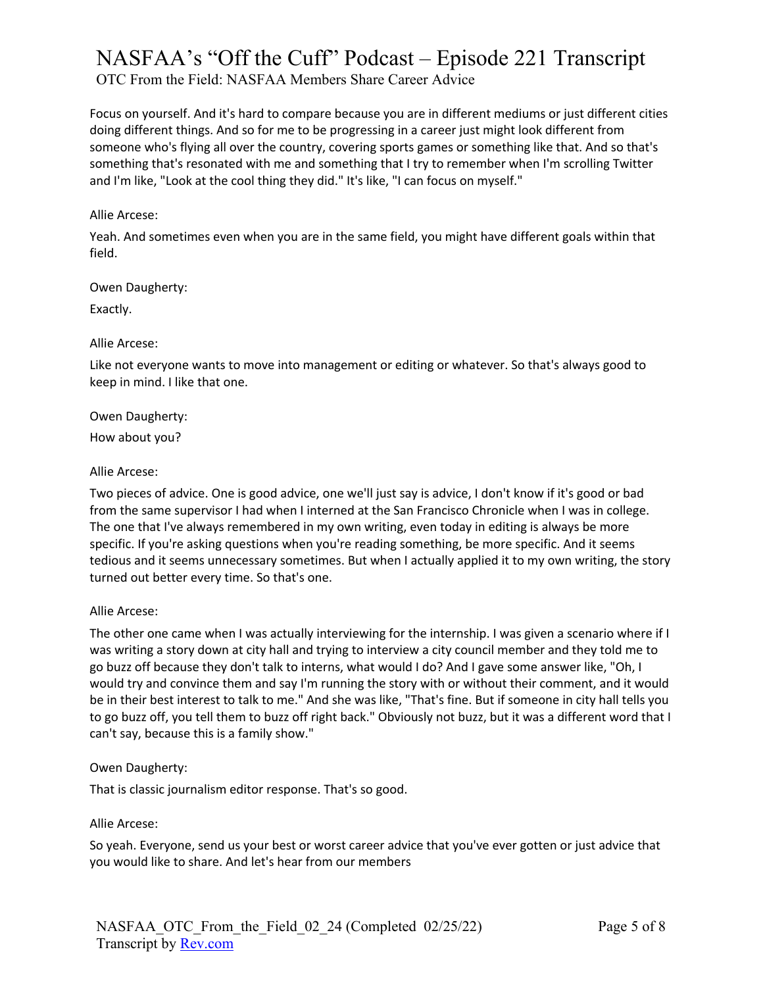OTC From the Field: NASFAA Members Share Career Advice

Focus on yourself. And it's hard to compare because you are in different mediums or just different cities doing different things. And so for me to be progressing in a career just might look different from someone who's flying all over the country, covering sports games or something like that. And so that's something that's resonated with me and something that I try to remember when I'm scrolling Twitter and I'm like, "Look at the cool thing they did." It's like, "I can focus on myself."

## Allie Arcese:

Yeah. And sometimes even when you are in the same field, you might have different goals within that field.

#### Owen Daugherty:

Exactly.

#### Allie Arcese:

Like not everyone wants to move into management or editing or whatever. So that's always good to keep in mind. I like that one.

Owen Daugherty:

How about you?

#### Allie Arcese:

Two pieces of advice. One is good advice, one we'll just say is advice, I don't know if it's good or bad from the same supervisor I had when I interned at the San Francisco Chronicle when I was in college. The one that I've always remembered in my own writing, even today in editing is always be more specific. If you're asking questions when you're reading something, be more specific. And it seems tedious and it seems unnecessary sometimes. But when I actually applied it to my own writing, the story turned out better every time. So that's one.

## Allie Arcese:

The other one came when I was actually interviewing for the internship. I was given a scenario where if I was writing a story down at city hall and trying to interview a city council member and they told me to go buzz off because they don't talk to interns, what would I do? And I gave some answer like, "Oh, I would try and convince them and say I'm running the story with or without their comment, and it would be in their best interest to talk to me." And she was like, "That's fine. But if someone in city hall tells you to go buzz off, you tell them to buzz off right back." Obviously not buzz, but it was a different word that I can't say, because this is a family show."

## Owen Daugherty:

That is classic journalism editor response. That's so good.

## Allie Arcese:

So yeah. Everyone, send us your best or worst career advice that you've ever gotten or just advice that you would like to share. And let's hear from our members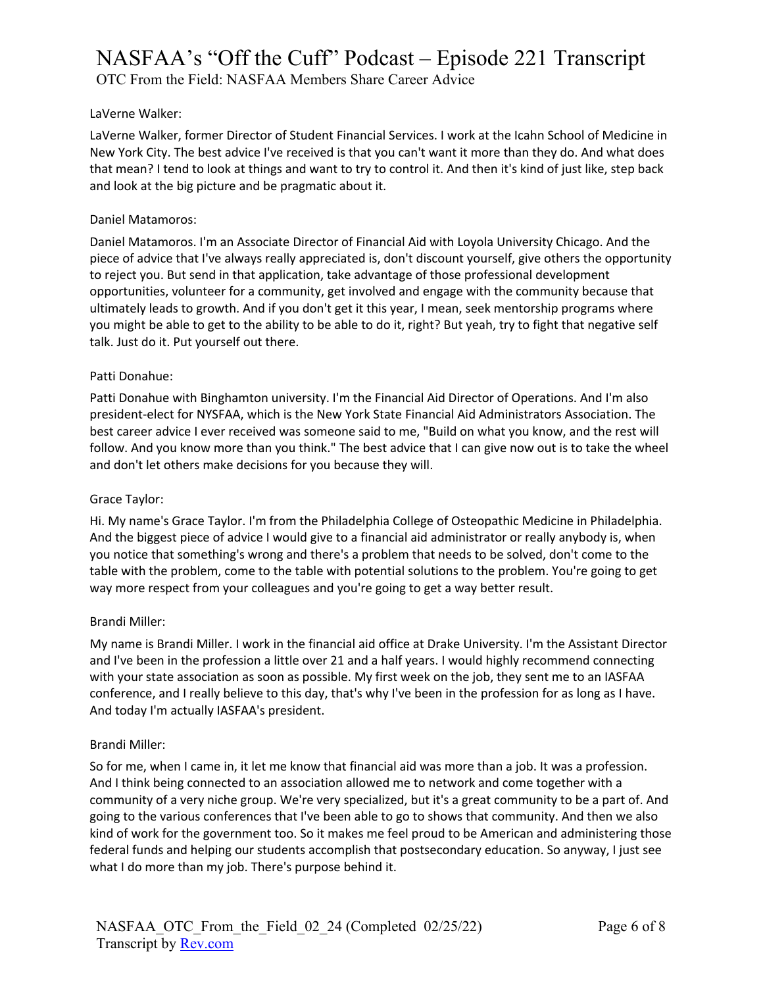OTC From the Field: NASFAA Members Share Career Advice

## LaVerne Walker:

LaVerne Walker, former Director of Student Financial Services. I work at the Icahn School of Medicine in New York City. The best advice I've received is that you can't want it more than they do. And what does that mean? I tend to look at things and want to try to control it. And then it's kind of just like, step back and look at the big picture and be pragmatic about it.

## Daniel Matamoros:

Daniel Matamoros. I'm an Associate Director of Financial Aid with Loyola University Chicago. And the piece of advice that I've always really appreciated is, don't discount yourself, give others the opportunity to reject you. But send in that application, take advantage of those professional development opportunities, volunteer for a community, get involved and engage with the community because that ultimately leads to growth. And if you don't get it this year, I mean, seek mentorship programs where you might be able to get to the ability to be able to do it, right? But yeah, try to fight that negative self talk. Just do it. Put yourself out there.

## Patti Donahue:

Patti Donahue with Binghamton university. I'm the Financial Aid Director of Operations. And I'm also president-elect for NYSFAA, which is the New York State Financial Aid Administrators Association. The best career advice I ever received was someone said to me, "Build on what you know, and the rest will follow. And you know more than you think." The best advice that I can give now out is to take the wheel and don't let others make decisions for you because they will.

## Grace Taylor:

Hi. My name's Grace Taylor. I'm from the Philadelphia College of Osteopathic Medicine in Philadelphia. And the biggest piece of advice I would give to a financial aid administrator or really anybody is, when you notice that something's wrong and there's a problem that needs to be solved, don't come to the table with the problem, come to the table with potential solutions to the problem. You're going to get way more respect from your colleagues and you're going to get a way better result.

## Brandi Miller:

My name is Brandi Miller. I work in the financial aid office at Drake University. I'm the Assistant Director and I've been in the profession a little over 21 and a half years. I would highly recommend connecting with your state association as soon as possible. My first week on the job, they sent me to an IASFAA conference, and I really believe to this day, that's why I've been in the profession for as long as I have. And today I'm actually IASFAA's president.

## Brandi Miller:

So for me, when I came in, it let me know that financial aid was more than a job. It was a profession. And I think being connected to an association allowed me to network and come together with a community of a very niche group. We're very specialized, but it's a great community to be a part of. And going to the various conferences that I've been able to go to shows that community. And then we also kind of work for the government too. So it makes me feel proud to be American and administering those federal funds and helping our students accomplish that postsecondary education. So anyway, I just see what I do more than my job. There's purpose behind it.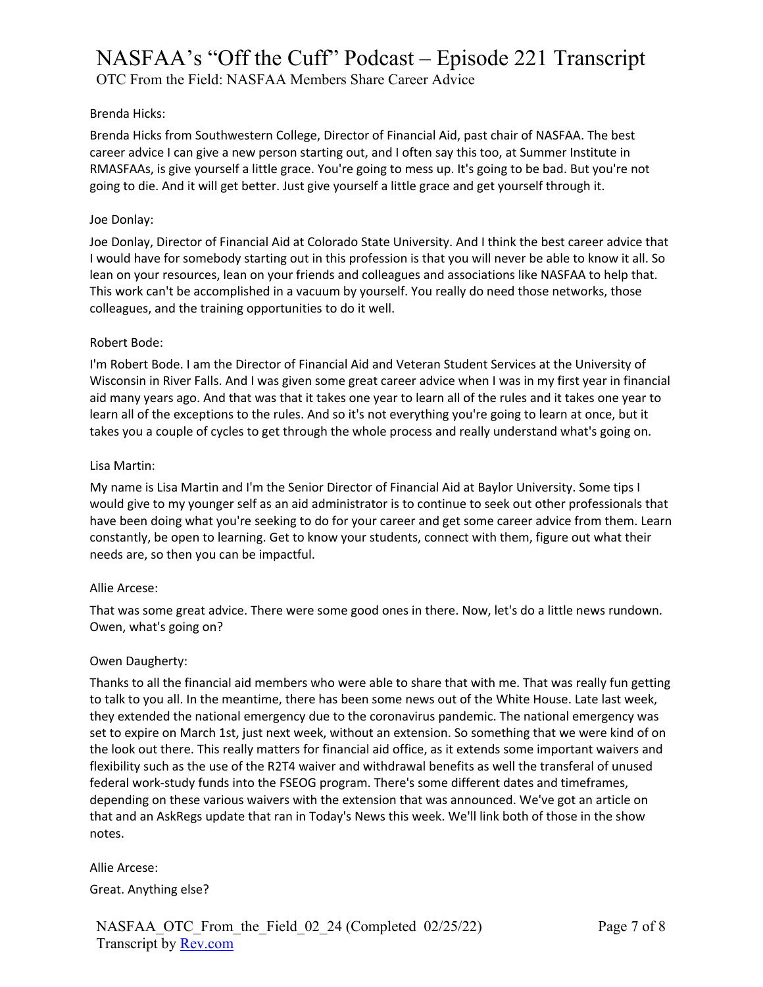OTC From the Field: NASFAA Members Share Career Advice

## Brenda Hicks:

Brenda Hicks from Southwestern College, Director of Financial Aid, past chair of NASFAA. The best career advice I can give a new person starting out, and I often say this too, at Summer Institute in RMASFAAs, is give yourself a little grace. You're going to mess up. It's going to be bad. But you're not going to die. And it will get better. Just give yourself a little grace and get yourself through it.

## Joe Donlay:

Joe Donlay, Director of Financial Aid at Colorado State University. And I think the best career advice that I would have for somebody starting out in this profession is that you will never be able to know it all. So lean on your resources, lean on your friends and colleagues and associations like NASFAA to help that. This work can't be accomplished in a vacuum by yourself. You really do need those networks, those colleagues, and the training opportunities to do it well.

## Robert Bode:

I'm Robert Bode. I am the Director of Financial Aid and Veteran Student Services at the University of Wisconsin in River Falls. And I was given some great career advice when I was in my first year in financial aid many years ago. And that was that it takes one year to learn all of the rules and it takes one year to learn all of the exceptions to the rules. And so it's not everything you're going to learn at once, but it takes you a couple of cycles to get through the whole process and really understand what's going on.

## Lisa Martin:

My name is Lisa Martin and I'm the Senior Director of Financial Aid at Baylor University. Some tips I would give to my younger self as an aid administrator is to continue to seek out other professionals that have been doing what you're seeking to do for your career and get some career advice from them. Learn constantly, be open to learning. Get to know your students, connect with them, figure out what their needs are, so then you can be impactful.

## Allie Arcese:

That was some great advice. There were some good ones in there. Now, let's do a little news rundown. Owen, what's going on?

## Owen Daugherty:

Thanks to all the financial aid members who were able to share that with me. That was really fun getting to talk to you all. In the meantime, there has been some news out of the White House. Late last week, they extended the national emergency due to the coronavirus pandemic. The national emergency was set to expire on March 1st, just next week, without an extension. So something that we were kind of on the look out there. This really matters for financial aid office, as it extends some important waivers and flexibility such as the use of the R2T4 waiver and withdrawal benefits as well the transferal of unused federal work-study funds into the FSEOG program. There's some different dates and timeframes, depending on these various waivers with the extension that was announced. We've got an article on that and an AskRegs update that ran in Today's News this week. We'll link both of those in the show notes.

Allie Arcese: Great. Anything else?